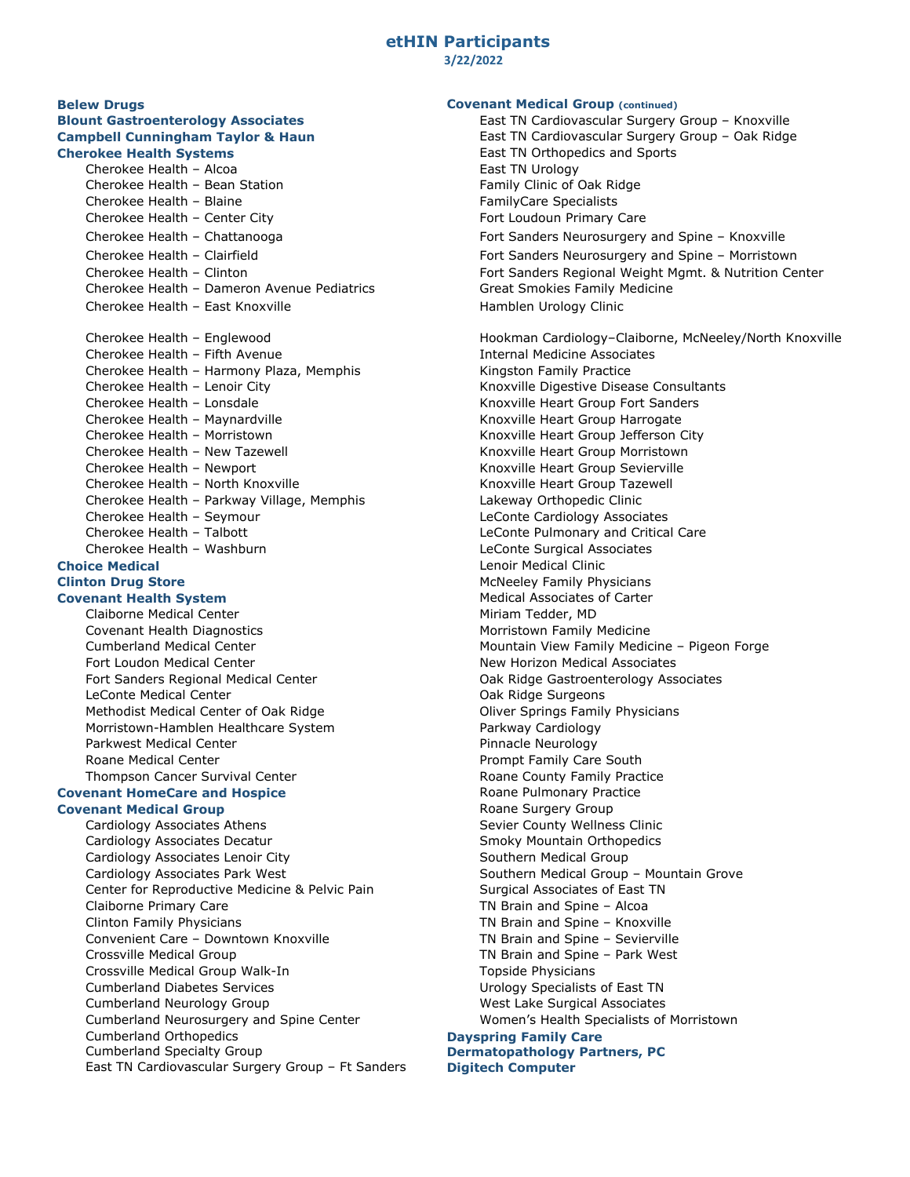## **etHIN Participants 3/22/2022**

**Belew Drugs Covenant Medical Group (continued)**

Cherokee Health – Alcoa **East TN Urology**<br>Cherokee Health – Bean Station **East TN Urology** East TN Urology Cherokee Health – Bean Station Cherokee Health – Blaine FamilyCare Specialists Cherokee Health – Center City Fort Loudoun Primary Care Cherokee Health – Dameron Avenue Pediatrics Cherokee Health – East Knoxville Hamblen Urology Clinic Cherokee Health - Fifth Avenue Cherokee Health - Harmony Plaza, Memphis Kingston Family Practice Cherokee Health – Lenoir City **Knoxville Digestive Disease Consultants** Knoxville Digestive Disease Consultants Cherokee Health – Lonsdale Knoxville Heart Group Fort Sanders Cherokee Health – Maynardville Knoxville Knoxville Heart Group Harrogate Cherokee Health – Morristown (Cherokee Health – Morristown Knoxville Heart Group Jefferson City<br>Cherokee Health – New Tazewell (Cherokee Knoxville Heart Group Morristown Cherokee Health – New Tazewell **Exercise State and Taylor Cherokee Health – New Tazewell Cherokee Health – New Yorkeen Cherokee Health – New Yorkeen Morristown Cherokee Health – New Yorkeen Morristown (Knoxville Heart Grou** Cherokee Health - North Knoxville Cherokee Health – Parkway Village, Memphis Lakeway Orthopedic Clinic Cherokee Health – Seymour LeConte Cardiology Associates Cherokee Health – Talbott LeConte Pulmonary and Critical Care Cherokee Health – Washburn LeConte Surgical Associates **Choice Medical Lenoir Medical Clinic Choice Medical Clinic** 

## **Covenant Health System**

Claiborne Medical Center Miriam Tedder, MD Covenant Health Diagnostics Morristown Family Medicine Fort Loudon Medical Center New Horizon Medical Associates Fort Sanders Regional Medical Center **Case Castroenter Castroenterology Associates** Oak Ridge Gastroenterology Associates LeConte Medical Center **Canadian Contents of Canadian Contents Canadian** Oak Ridge Surgeons Methodist Medical Center of Oak Ridge **Oliver Springs Family Physicians**<br>Morristown-Hamblen Healthcare System **Oliver Strander Parkway Cardiology** Morristown-Hamblen Healthcare System Parkwest Medical Center **Pinnacle Neurology** Pinnacle Neurology Roane Medical Center **Prompt Family Care South** Prompt Family Care South Thompson Cancer Survival Center **Roane County Family Practice** Roane County Family Practice

**Covenant Medical Group** 

Cardiology Associates Athens Sevier County Wellness Clinic Cardiology Associates Decatur Smoky Mountain Orthopedics Cardiology Associates Lenoir City Southern Medical Group Cardiology Associates Park West Southern Medical Group – Mountain Grove Center for Reproductive Medicine & Pelvic Pain Surgical Associates of East TN Claiborne Primary Care TN Brain and Spine – Alcoa Clinton Family Physicians TN Brain and Spine – Knoxville Convenient Care – Downtown Knoxville TN Brain and Spine – Sevierville Crossville Medical Group TN Brain and Spine – Park West Crossville Medical Group Walk-In Topside Physicians Cumberland Diabetes Services **National Services** Urology Specialists of East TN Cumberland Neurology Group West Lake Surgical Associates Cumberland Neurosurgery and Spine Center Women's Health Specialists of Morristown Cumberland Orthopedics **Dayspring Family Care** East TN Cardiovascular Surgery Group – Ft Sanders **Digitech Computer**

**Blount Gastroenterology Associates** Entertainment East TN Cardiovascular Surgery Group – Knoxville **Campbell Cunningham Taylor & Haun** East TN Cardiovascular Surgery Group – Oak Ridge **Cherokee Health Systems**<br>
Cherokee Health – Alcoa<br>
East TN Urology<br>
East TN Urology Cherokee Health – Chattanooga Fort Sanders Neurosurgery and Spine – Knoxville Cherokee Health – Clairfield Fort Sanders Neurosurgery and Spine – Morristown Fort Sanders Regional Weight Mgmt. & Nutrition Center<br>Great Smokies Family Medicine Cherokee Health – Englewood entitled a state of the Hookman Cardiology–Claiborne, McNeeley/North Knoxville<br>Cherokee Health – Fifth Avenue entitled a state of the Internal Medicine Associates Knoxville Heart Group Sevierville<br>Knoxville Heart Group Tazewell **Clinton Drug Store** Manus Christians (McNeeley Family Physicians McNeeley Family Physicians of Carter Music Associates of Carter (McNeeley Family Physicians of Carter Music Associates of Carter (McNeeley Family Physicians Cumberland Medical Center Mountain View Family Medicine – Pigeon Forge **Covenant HomeCare and Hospice Roane Pulmonary Practice** Roane Pulmonary Practice Covenant Medical Group

## **Dermatopathology Partners, PC**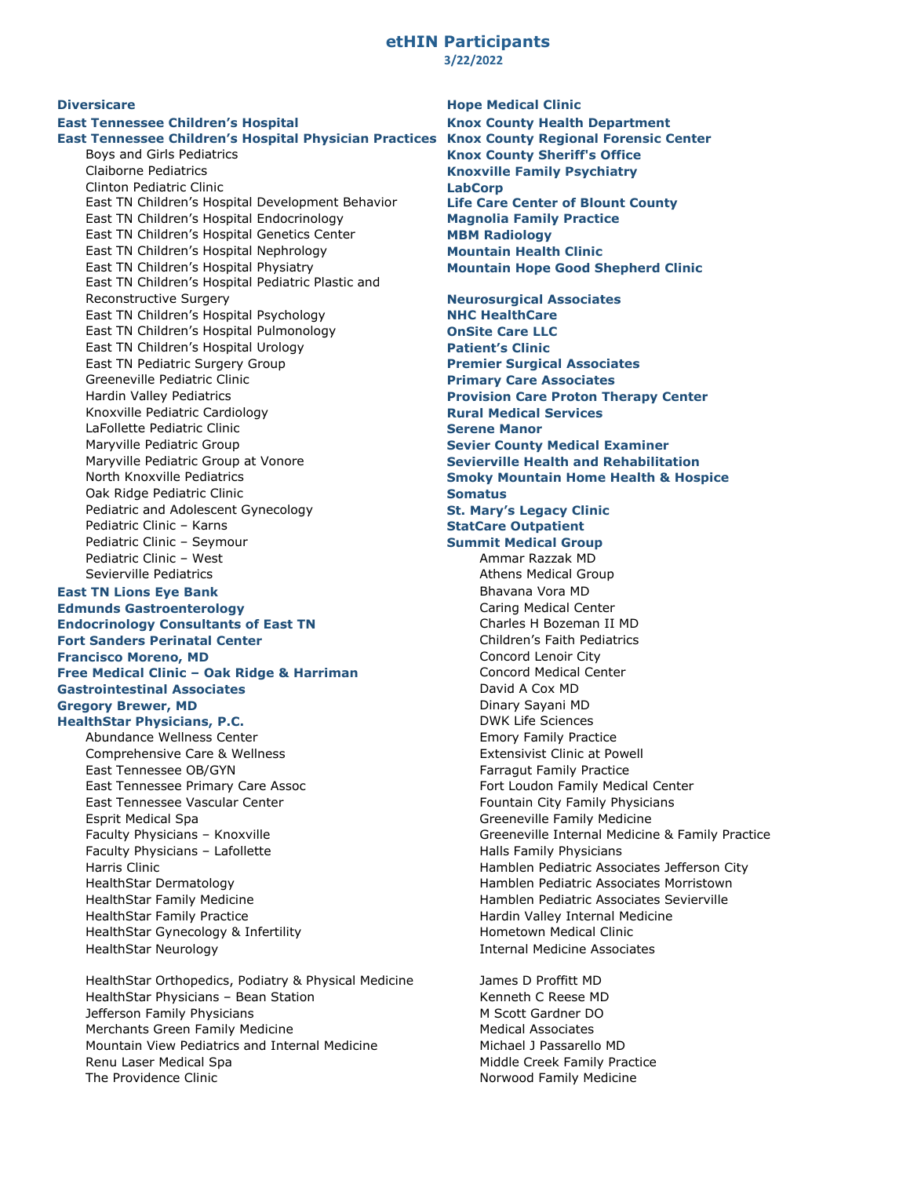### **etHIN Participants 3/22/2022**

## **East Tennessee Children's Hospital Knox County Health Department East Tennessee Children's Hospital Physician Practices**

Clinton Pediatric Clinic<br>
East TN Children's Hospital Development Behavior **Life Care Center of Blount County** East TN Children's Hospital Development Behavior East TN Children's Hospital Endocrinology **Magnolia Family Practice** East TN Children's Hospital Genetics Center **MBM Radiology** East TN Children's Hospital Nephrology<br>
East TN Children's Hospital Physiatry<br> **Mountain Hope Good S** East TN Children's Hospital Pediatric Plastic and Reconstructive Surgery<br> **Reconstructive Surgery Neurosurgical Associates**<br> **NAC HealthCare** East TN Children's Hospital Psychology **NHC HealthCare** East TN Children's Hospital Pulmonology East TN Children's Hospital Urology **Patient's Clinic** East TN Pediatric Surgery Group **Premier Surgical Associates** Greeneville Pediatric Clinic **Primary Care Associates**<br> **Primary Care Proton The Provision Care Proton The Proton The Proton The Proton The Proton The Proton The Proton Th** Knoxville Pediatric Cardiology<br>
LaFollette Pediatric Clinic<br> **Rural Mediatric Clinic Rural Services**<br> **Rural Mediatric Clinic** LaFollette Pediatric Clinic<br>Maryville Pediatric Group Maryville Pediatric Group **Sevier County Medical Examiner** North Knoxville Pediatrics **Smoky Mountain Home Health & Hospice Oak Ridge Pediatric Clinic Somatus** Pediatric and Adolescent Gynecology **St. Mary's Legacy Clinic** Pediatric Clinic – Karns **StatCare Outpatient**<br>
Pediatric Clinic – Seymour **Summit Medical Group**<br>
Summit Medical Group Pediatric Clinic – Seymour<br>
Pediatric Clinic – West<br>
Pediatric Clinic – West<br> **Summar Razzak MD** Pediatric Clinic - West Sevierville Pediatrics **Athens Medical Group** Athens Medical Group **East TN Lions Eye Bank Bhavana Vora MD** Bhavana Vora MD **Edmunds Gastroenterology**<br> **Endocrinology** Consultants of East TN Charles H Bozeman II MD **Endocrinology Consultants of East TN** Charles H Bozeman II MD<br> **Fort Sanders Perinatal Center** Children's Faith Pediatrics **Fort Sanders Perinatal Center** Children's Faith Pediatrics Faith Pediatrics Faith Pediatrics Concord Lenoir City **Francisco Moreno, MD Concord Lenoir City**<br> **Free Medical Clinic – Oak Ridge & Harriman Concord Medical Center Free Medical Clinic - Oak Ridge & Harriman Gastrointestinal Associates David A Cox MD** David A Cox MD **Gregory Brewer, MD Dinary Sayani MD** Dinary Sayani MD **HealthStar Physicians, P.C.** DWK Life Sciences Abundance Wellness Center **Emory Family Practice** Emory Family Practice Comprehensive Care & Wellness **Extensivist Clinic at Powell** Comprehensive Care & Wellness East Tennessee OB/GYN Farragut Family Practice East Tennessee Primary Care Assoc Fort Loudon Family Medical Center East Tennessee Vascular Center Fountain City Family Physicians Esprit Medical Spa Greeneville Family Medicine Faculty Physicians – Lafollette Halls Family Physicians Harris Clinic Hamblen Pediatric Associates Jefferson City HealthStar Dermatology Hamblen Pediatric Associates Morristown HealthStar Family Medicine **Hamblen Pediatric Associates Sevierville** HealthStar Family Practice **Hardin Valley Internal Medicine** Hardin Valley Internal Medicine HealthStar Gynecology & Infertility Hometown Medical Clinic

HealthStar Orthopedics, Podiatry & Physical Medicine James D Proffitt MD HealthStar Physicians – Bean Station Marchiesen Montestand Kenneth C Reese MD Jefferson Family Physicians M Scott Gardner DO Merchants Green Family Medicine Medical Associates Mountain View Pediatrics and Internal Medicine Michael J Passarello MD Renu Laser Medical Spa Middle Creek Family Practice The Providence Clinic Norwood Family Medicine

**Diversicare Hope Medical Clinic Knox County Regional Forensic Center** Boys and Girls Pediatrics **Knox County Sheriff's Office Knoxville Family Psychiatry Mountain Hope Good Shepherd Clinic** 

**Provision Care Proton Therapy Center Sevierville Health and Rehabilitation** Faculty Physicians – Knoxville Greeneville Internal Medicine & Family Practice HealthStar Neurology Internal Medicine Associates